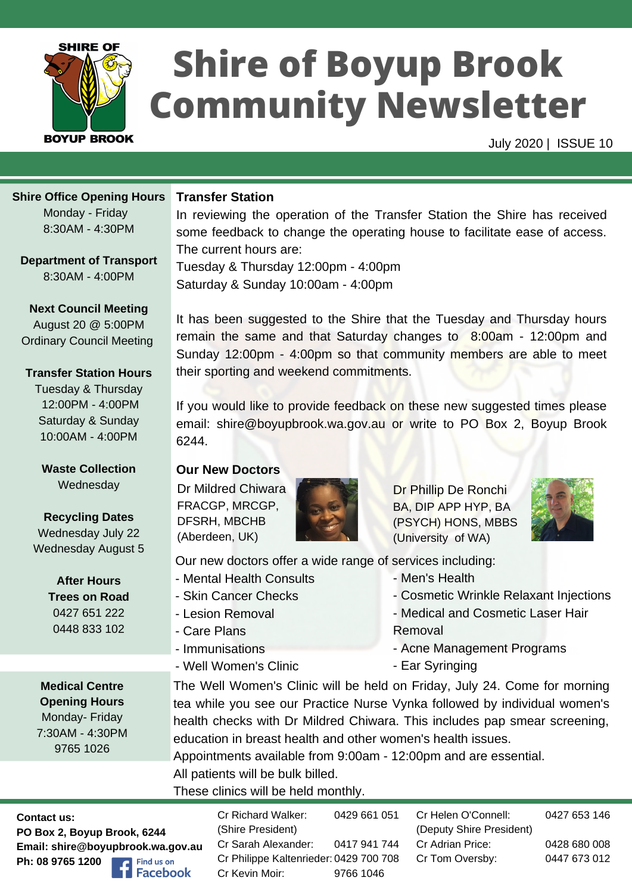

# **Shire of Boyup Brook Community Newsletter**

July 2020 | ISSUE 10

#### **Shire Office Opening Hours**

Monday - Friday 8:30AM -4:30PM

**Department of Transport**

8:30AM -4:00PM

**Next Council Meeting** August 20 @ 5:00PM Ordinary Council Meeting

#### **Transfer Station Hours**

Tuesday & Thursday 12:00PM -4:00PM Saturday & Sunday 10:00AM -4:00PM

**Waste Collection Wednesday** 

# **Recycling Dates**

Wednesday July 22 Wednesday August 5

> **After Hours Trees on Road** 0427 651 222 0448 833 102

**Medical Centre Opening Hours** Monday- Friday 7:30AM - 4:30PM 9765 1026

## **Transfer Station**

In reviewing the operation of the Transfer Station the Shire has received some feedback to change the operating house to facilitate ease of access. The current hours are:

Tuesday & Thursday 12:00pm - 4:00pm Saturday & Sunday 10:00am -4:00pm

It has been suggested to the Shire that the Tuesday and Thursday hours remain the same and that Saturday changes to 8:00am - 12:00pm and Sunday 12:00pm - 4:00pm so that community members are able to meet their sporting and weekend commitments.

If you would like to provide feedback on these new suggested times please email: shire@boyupbrook.wa.gov.au or write to PO Box 2, Boyup Brook 6244.

### **Our New Doctors**

Dr Mildred Chiwara FRACGP, MRCGP, DFSRH, MBCHB (Aberdeen, UK)



Dr Phillip De Ronchi BA, DIP APP HYP, BA (PSYCH) HONS, MBBS (University of WA)



Our new doctors offer a wide range of services including:

- Mental Health Consults
- Skin Cancer Checks

- Well Women's Clinic

- Lesion Removal
- Care Plans

- Immunisations

- Cosmetic Wrinkle Relaxant Injections
- Medical and Cosmetic Laser Hair
- Removal
- Acne Management Programs
- Ear Syringing

- Men's Health

The Well Women's Clinic will be held on Friday, July 24. Come for morning tea while you see our Practice Nurse Vynka followed by individual women's health checks with Dr Mildred Chiwara. This includes pap smear screening, education in breast health and other women's health issues.

Appointments available from 9:00am - 12:00pm and are essential. All patients will be bulk billed.

These clinics will be held monthly.

**Contact us: PO Box 2, Boyup Brook, 6244 Email: shire@boyupbrook.wa.gov.au Ph: 08 9765 1200** Find us on **Facebook** 

Cr Helen O'Connell: (Deputy Shire President) Cr Adrian Price: Cr Tom Oversby: 0427 653 146 0428 680 008 0447 673 012 Cr Richard Walker: (Shire President) Cr Sarah Alexander: Cr Philippe Kaltenrieder: 0429 700 708 Cr Kevin Moir: 0429 661 051 0417 941 744 9766 1046